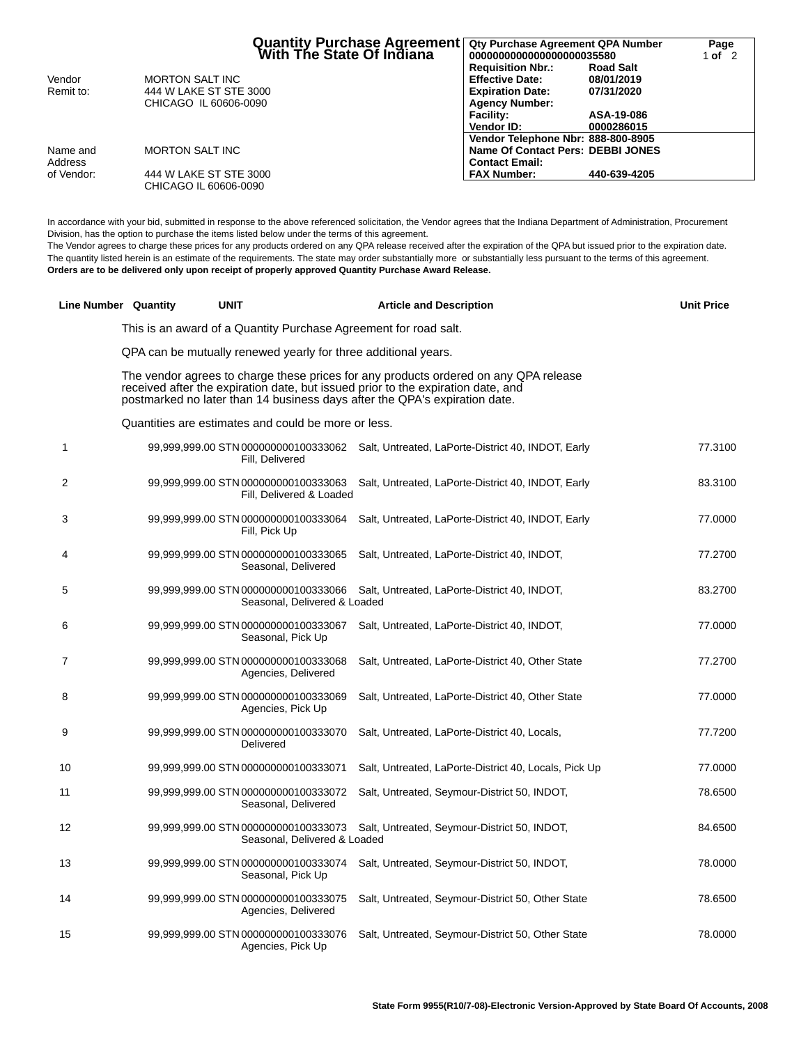|            | Quantity Purchase Agreement<br>  With The State Of Indiana | <b>Qty Purchase Agreement QPA Number</b><br>0000000000000000000035580 |                  | Page<br>lof 2 |  |
|------------|------------------------------------------------------------|-----------------------------------------------------------------------|------------------|---------------|--|
|            |                                                            | <b>Requisition Nbr.:</b>                                              | <b>Road Salt</b> |               |  |
| Vendor     | MORTON SALT INC                                            | <b>Effective Date:</b>                                                | 08/01/2019       |               |  |
| Remit to:  | 444 W LAKE ST STE 3000                                     | <b>Expiration Date:</b>                                               | 07/31/2020       |               |  |
|            | CHICAGO IL 60606-0090                                      | <b>Agency Number:</b>                                                 |                  |               |  |
|            |                                                            | Facility:                                                             | ASA-19-086       |               |  |
|            |                                                            | Vendor ID:                                                            | 0000286015       |               |  |
|            |                                                            | Vendor Telephone Nbr: 888-800-8905                                    |                  |               |  |
| Name and   | MORTON SALT INC                                            | Name Of Contact Pers: DEBBI JONES                                     |                  |               |  |
| Address    |                                                            | <b>Contact Email:</b>                                                 |                  |               |  |
| of Vendor: | 444 W LAKE ST STE 3000                                     | <b>FAX Number:</b>                                                    | 440-639-4205     |               |  |
|            | CHICAGO IL 60606-0090                                      |                                                                       |                  |               |  |

In accordance with your bid, submitted in response to the above referenced solicitation, the Vendor agrees that the Indiana Department of Administration, Procurement Division, has the option to purchase the items listed below under the terms of this agreement.

The Vendor agrees to charge these prices for any products ordered on any QPA release received after the expiration of the QPA but issued prior to the expiration date. The quantity listed herein is an estimate of the requirements. The state may order substantially more or substantially less pursuant to the terms of this agreement. **Orders are to be delivered only upon receipt of properly approved Quantity Purchase Award Release.**

|    | Line Number Quantity | <b>UNIT</b>                                                          | <b>Article and Description</b>                                                                                                                                                                                                                         | <b>Unit Price</b> |
|----|----------------------|----------------------------------------------------------------------|--------------------------------------------------------------------------------------------------------------------------------------------------------------------------------------------------------------------------------------------------------|-------------------|
|    |                      | This is an award of a Quantity Purchase Agreement for road salt.     |                                                                                                                                                                                                                                                        |                   |
|    |                      | QPA can be mutually renewed yearly for three additional years.       |                                                                                                                                                                                                                                                        |                   |
|    |                      |                                                                      | The vendor agrees to charge these prices for any products ordered on any QPA release<br>received after the expiration date, but issued prior to the expiration date, and<br>postmarked no later than 14 business days after the QPA's expiration date. |                   |
|    |                      | Quantities are estimates and could be more or less.                  |                                                                                                                                                                                                                                                        |                   |
| 1  |                      | Fill, Delivered                                                      | 99,999,999.00 STN 000000000100333062 Salt, Untreated, LaPorte-District 40, INDOT, Early                                                                                                                                                                | 77.3100           |
| 2  |                      | 99,999,999.00 STN 000000000100333063<br>Fill, Delivered & Loaded     | Salt, Untreated, LaPorte-District 40, INDOT, Early                                                                                                                                                                                                     | 83.3100           |
| 3  |                      | 99,999,999.00 STN 000000000100333064<br>Fill, Pick Up                | Salt, Untreated, LaPorte-District 40, INDOT, Early                                                                                                                                                                                                     | 77.0000           |
| 4  |                      | 99,999,999.00 STN 000000000100333065<br>Seasonal, Delivered          | Salt, Untreated, LaPorte-District 40, INDOT,                                                                                                                                                                                                           | 77.2700           |
| 5  |                      | 99,999,999.00 STN 000000000100333066<br>Seasonal, Delivered & Loaded | Salt, Untreated, LaPorte-District 40, INDOT,                                                                                                                                                                                                           | 83.2700           |
| 6  |                      | 99,999,999.00 STN 000000000100333067<br>Seasonal, Pick Up            | Salt, Untreated, LaPorte-District 40, INDOT,                                                                                                                                                                                                           | 77.0000           |
| 7  |                      | 99,999,999.00 STN 000000000100333068<br>Agencies, Delivered          | Salt, Untreated, LaPorte-District 40, Other State                                                                                                                                                                                                      | 77.2700           |
| 8  |                      | 99,999,999.00 STN 000000000100333069<br>Agencies, Pick Up            | Salt, Untreated, LaPorte-District 40, Other State                                                                                                                                                                                                      | 77.0000           |
| 9  |                      | 99,999,999.00 STN 000000000100333070<br>Delivered                    | Salt, Untreated, LaPorte-District 40, Locals,                                                                                                                                                                                                          | 77.7200           |
| 10 |                      | 99,999,999.00 STN 000000000100333071                                 | Salt, Untreated, LaPorte-District 40, Locals, Pick Up                                                                                                                                                                                                  | 77.0000           |
| 11 |                      | 99,999,999.00 STN 000000000100333072<br>Seasonal, Delivered          | Salt, Untreated, Seymour-District 50, INDOT,                                                                                                                                                                                                           | 78.6500           |
| 12 |                      | 99,999,999.00 STN 000000000100333073<br>Seasonal, Delivered & Loaded | Salt, Untreated, Seymour-District 50, INDOT,                                                                                                                                                                                                           | 84.6500           |
| 13 |                      | 99,999,999.00 STN 000000000100333074<br>Seasonal, Pick Up            | Salt, Untreated, Seymour-District 50, INDOT,                                                                                                                                                                                                           | 78.0000           |
| 14 |                      | 99,999,999.00 STN 000000000100333075<br>Agencies, Delivered          | Salt, Untreated, Seymour-District 50, Other State                                                                                                                                                                                                      | 78.6500           |
| 15 |                      | 99,999,999.00 STN 000000000100333076<br>Agencies, Pick Up            | Salt, Untreated, Seymour-District 50, Other State                                                                                                                                                                                                      | 78.0000           |